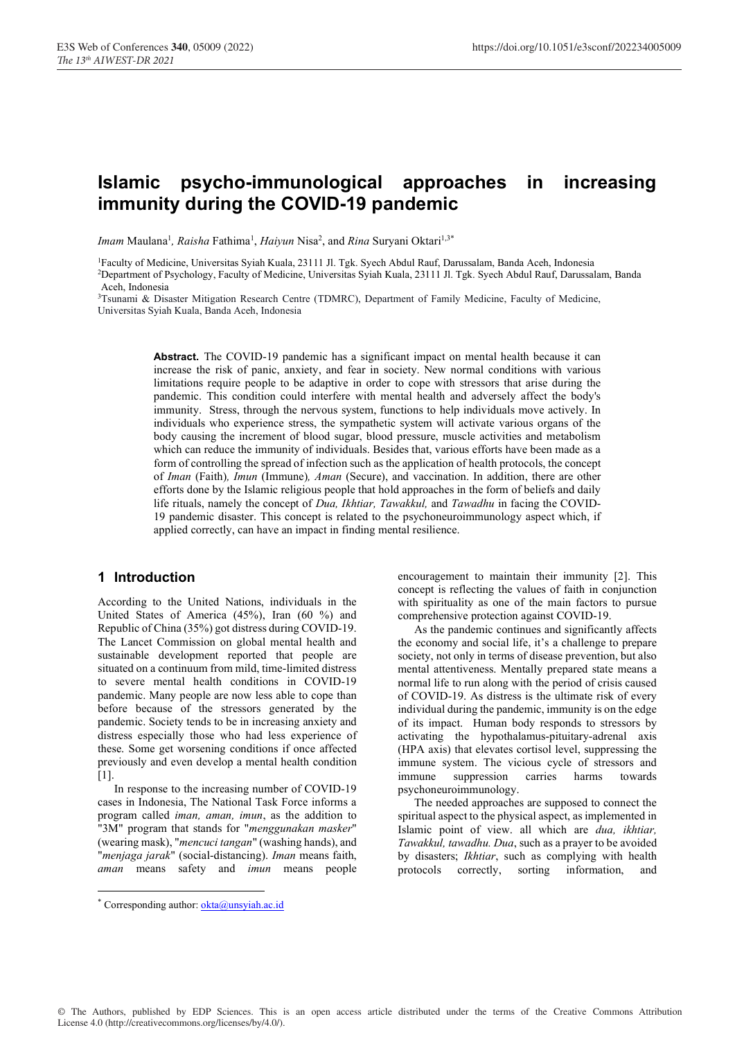# Islamic psycho-immunological approaches in increasing immunity during the COVID-19 pandemic

Imam Maulana<sup>1</sup>, Raisha Fathima<sup>1</sup>, Haiyun Nisa<sup>2</sup>, and Rina Suryani Oktari<sup>1,3\*</sup>

1 Faculty of Medicine, Universitas Syiah Kuala, 23111 Jl. Tgk. Syech Abdul Rauf, Darussalam, Banda Aceh, Indonesia 2Department of Psychology, Faculty of Medicine, Universitas Syiah Kuala, 23111 Jl. Tgk. Syech Abdul Rauf, Darussalam, Banda Aceh, Indonesia

3 Tsunami & Disaster Mitigation Research Centre (TDMRC), Department of Family Medicine, Faculty of Medicine, Universitas Syiah Kuala, Banda Aceh, Indonesia

> Abstract. The COVID-19 pandemic has a significant impact on mental health because it can increase the risk of panic, anxiety, and fear in society. New normal conditions with various limitations require people to be adaptive in order to cope with stressors that arise during the pandemic. This condition could interfere with mental health and adversely affect the body's immunity. Stress, through the nervous system, functions to help individuals move actively. In individuals who experience stress, the sympathetic system will activate various organs of the body causing the increment of blood sugar, blood pressure, muscle activities and metabolism which can reduce the immunity of individuals. Besides that, various efforts have been made as a form of controlling the spread of infection such as the application of health protocols, the concept of Iman (Faith), Imun (Immune), Aman (Secure), and vaccination. In addition, there are other efforts done by the Islamic religious people that hold approaches in the form of beliefs and daily life rituals, namely the concept of *Dua, Ikhtiar, Tawakkul*, and *Tawadhu* in facing the COVID-19 pandemic disaster. This concept is related to the psychoneuroimmunology aspect which, if applied correctly, can have an impact in finding mental resilience.

# 1 Introduction

According to the United Nations, individuals in the United States of America (45%), Iran (60 %) and Republic of China (35%) got distress during COVID-19. The Lancet Commission on global mental health and sustainable development reported that people are situated on a continuum from mild, time-limited distress to severe mental health conditions in COVID-19 pandemic. Many people are now less able to cope than before because of the stressors generated by the pandemic. Society tends to be in increasing anxiety and distress especially those who had less experience of these. Some get worsening conditions if once affected previously and even develop a mental health condition [1].

In response to the increasing number of COVID-19 cases in Indonesia, The National Task Force informs a program called iman, aman, imun, as the addition to "3M" program that stands for "menggunakan masker" (wearing mask), "mencuci tangan" (washing hands), and "menjaga jarak" (social-distancing). Iman means faith, aman means safety and imun means people encouragement to maintain their immunity [2]. This concept is reflecting the values of faith in conjunction with spirituality as one of the main factors to pursue comprehensive protection against COVID-19.

As the pandemic continues and significantly affects the economy and social life, it's a challenge to prepare society, not only in terms of disease prevention, but also mental attentiveness. Mentally prepared state means a normal life to run along with the period of crisis caused of COVID-19. As distress is the ultimate risk of every individual during the pandemic, immunity is on the edge of its impact. Human body responds to stressors by activating the hypothalamus-pituitary-adrenal axis (HPA axis) that elevates cortisol level, suppressing the immune system. The vicious cycle of stressors and immune suppression carries harms towards psychoneuroimmunology.

The needed approaches are supposed to connect the spiritual aspect to the physical aspect, as implemented in Islamic point of view. all which are dua, ikhtiar, Tawakkul, tawadhu. Dua, such as a prayer to be avoided by disasters; Ikhtiar, such as complying with health protocols correctly, sorting information, and

<sup>\*</sup> Corresponding author: **okta@unsyiah.ac.id**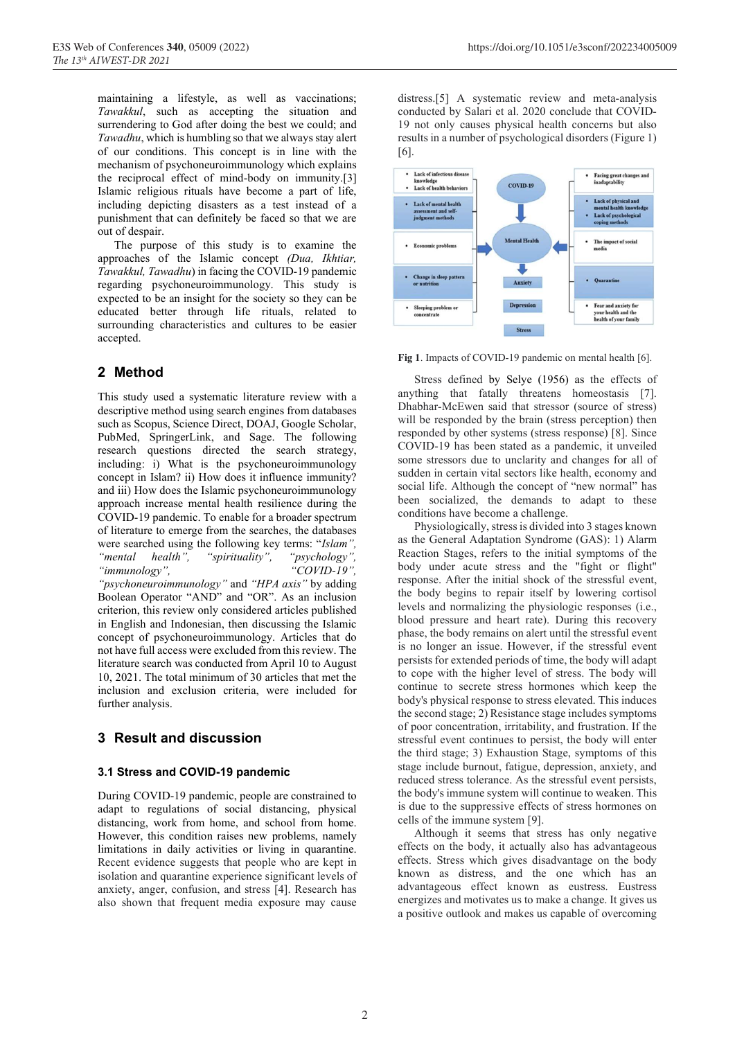maintaining a lifestyle, as well as vaccinations; Tawakkul, such as accepting the situation and surrendering to God after doing the best we could; and Tawadhu, which is humbling so that we always stay alert of our conditions. This concept is in line with the mechanism of psychoneuroimmunology which explains the reciprocal effect of mind-body on immunity.[3] Islamic religious rituals have become a part of life, including depicting disasters as a test instead of a punishment that can definitely be faced so that we are out of despair.

The purpose of this study is to examine the approaches of the Islamic concept (Dua, Ikhtiar, Tawakkul, Tawadhu) in facing the COVID-19 pandemic regarding psychoneuroimmunology. This study is expected to be an insight for the society so they can be educated better through life rituals, related to surrounding characteristics and cultures to be easier accepted.

# 2 Method

This study used a systematic literature review with a descriptive method using search engines from databases such as Scopus, Science Direct, DOAJ, Google Scholar, PubMed, SpringerLink, and Sage. The following research questions directed the search strategy, including: i) What is the psychoneuroimmunology concept in Islam? ii) How does it influence immunity? and iii) How does the Islamic psychoneuroimmunology approach increase mental health resilience during the COVID-19 pandemic. To enable for a broader spectrum of literature to emerge from the searches, the databases were searched using the following key terms: "Islam", "mental health", "spirituality", "psychology", "immunology", "COVID-19", "psychoneuroimmunology" and "HPA axis" by adding Boolean Operator "AND" and "OR". As an inclusion criterion, this review only considered articles published in English and Indonesian, then discussing the Islamic concept of psychoneuroimmunology. Articles that do not have full access were excluded from this review. The literature search was conducted from April 10 to August 10, 2021. The total minimum of 30 articles that met the inclusion and exclusion criteria, were included for further analysis.

# 3 Result and discussion

#### 3.1 Stress and COVID-19 pandemic

During COVID-19 pandemic, people are constrained to adapt to regulations of social distancing, physical distancing, work from home, and school from home. However, this condition raises new problems, namely limitations in daily activities or living in quarantine. Recent evidence suggests that people who are kept in isolation and quarantine experience significant levels of anxiety, anger, confusion, and stress [4]. Research has also shown that frequent media exposure may cause distress.[5] A systematic review and meta-analysis conducted by Salari et al. 2020 conclude that COVID-19 not only causes physical health concerns but also results in a number of psychological disorders (Figure 1) [6].



Fig 1. Impacts of COVID-19 pandemic on mental health [6].

Stress defined by Selye (1956) as the effects of anything that fatally threatens homeostasis [7]. Dhabhar-McEwen said that stressor (source of stress) will be responded by the brain (stress perception) then responded by other systems (stress response) [8]. Since COVID-19 has been stated as a pandemic, it unveiled some stressors due to unclarity and changes for all of sudden in certain vital sectors like health, economy and social life. Although the concept of "new normal" has been socialized, the demands to adapt to these conditions have become a challenge.

Physiologically, stress is divided into 3 stages known as the General Adaptation Syndrome (GAS): 1) Alarm Reaction Stages, refers to the initial symptoms of the body under acute stress and the "fight or flight" response. After the initial shock of the stressful event, the body begins to repair itself by lowering cortisol levels and normalizing the physiologic responses (i.e., blood pressure and heart rate). During this recovery phase, the body remains on alert until the stressful event is no longer an issue. However, if the stressful event persists for extended periods of time, the body will adapt to cope with the higher level of stress. The body will continue to secrete stress hormones which keep the body's physical response to stress elevated. This induces the second stage; 2) Resistance stage includes symptoms of poor concentration, irritability, and frustration. If the stressful event continues to persist, the body will enter the third stage; 3) Exhaustion Stage, symptoms of this stage include burnout, fatigue, depression, anxiety, and reduced stress tolerance. As the stressful event persists, the body's immune system will continue to weaken. This is due to the suppressive effects of stress hormones on cells of the immune system [9].

Although it seems that stress has only negative effects on the body, it actually also has advantageous effects. Stress which gives disadvantage on the body known as distress, and the one which has an advantageous effect known as eustress. Eustress energizes and motivates us to make a change. It gives us a positive outlook and makes us capable of overcoming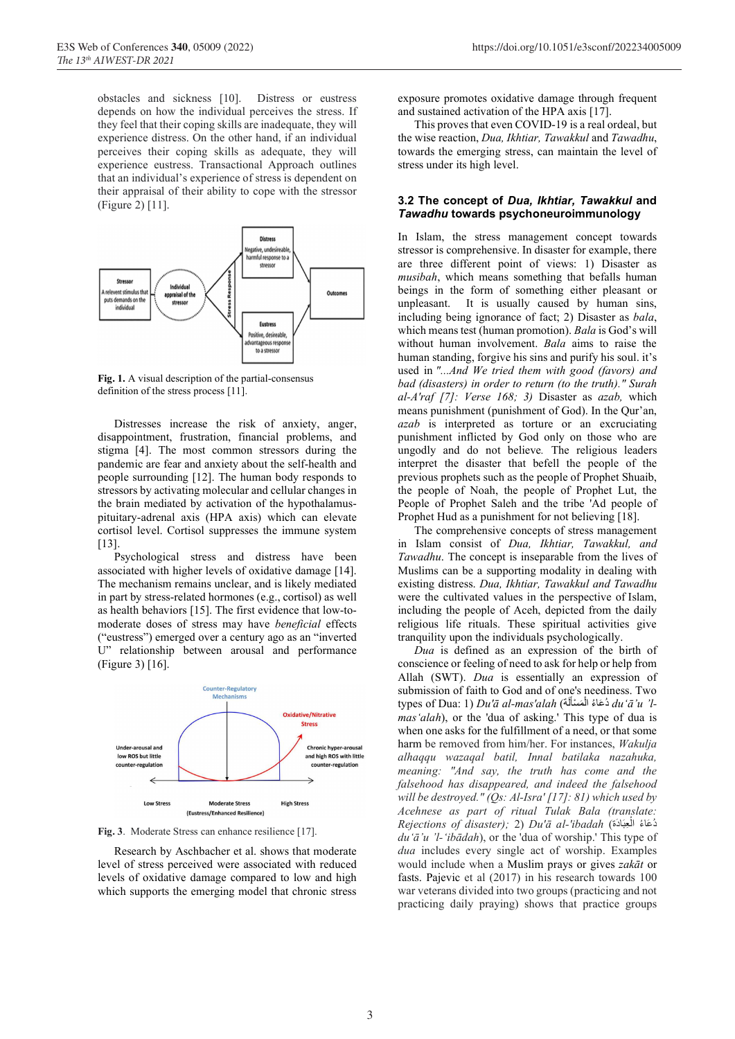obstacles and sickness [10]. Distress or eustress depends on how the individual perceives the stress. If they feel that their coping skills are inadequate, they will experience distress. On the other hand, if an individual perceives their coping skills as adequate, they will experience eustress. Transactional Approach outlines that an individual's experience of stress is dependent on their appraisal of their ability to cope with the stressor (Figure 2) [11].



Fig. 1. A visual description of the partial-consensus definition of the stress process [11].

Distresses increase the risk of anxiety, anger, disappointment, frustration, financial problems, and stigma [4]. The most common stressors during the pandemic are fear and anxiety about the self-health and people surrounding [12]. The human body responds to stressors by activating molecular and cellular changes in the brain mediated by activation of the hypothalamuspituitary-adrenal axis (HPA axis) which can elevate cortisol level. Cortisol suppresses the immune system [13]

Psychological stress and distress have been associated with higher levels of oxidative damage [14]. The mechanism remains unclear, and is likely mediated in part by stress-related hormones (e.g., cortisol) as well as health behaviors [15]. The first evidence that low-tomoderate doses of stress may have beneficial effects ("eustress") emerged over a century ago as an "inverted U" relationship between arousal and performance (Figure 3) [16].



Fig. 3. Moderate Stress can enhance resilience [17].

Research by Aschbacher et al. shows that moderate level of stress perceived were associated with reduced levels of oxidative damage compared to low and high which supports the emerging model that chronic stress exposure promotes oxidative damage through frequent and sustained activation of the HPA axis [17].

This proves that even COVID-19 is a real ordeal, but the wise reaction, Dua, Ikhtiar, Tawakkul and Tawadhu, towards the emerging stress, can maintain the level of stress under its high level.

#### 3.2 The concept of Dua, Ikhtiar, Tawakkul and Tawadhu towards psychoneuroimmunology

In Islam, the stress management concept towards stressor is comprehensive. In disaster for example, there are three different point of views: 1) Disaster as musibah, which means something that befalls human beings in the form of something either pleasant or unpleasant. It is usually caused by human sins, including being ignorance of fact; 2) Disaster as bala, which means test (human promotion). Bala is God's will without human involvement. Bala aims to raise the human standing, forgive his sins and purify his soul. it's used in "...And We tried them with good (favors) and bad (disasters) in order to return (to the truth)." Surah al-A'raf [7]: Verse 168; 3) Disaster as azab, which means punishment (punishment of God). In the Qur'an, azab is interpreted as torture or an excruciating punishment inflicted by God only on those who are ungodly and do not believe. The religious leaders interpret the disaster that befell the people of the previous prophets such as the people of Prophet Shuaib, the people of Noah, the people of Prophet Lut, the People of Prophet Saleh and the tribe 'Ad people of Prophet Hud as a punishment for not believing [18].

The comprehensive concepts of stress management in Islam consist of Dua, Ikhtiar, Tawakkul, and Tawadhu. The concept is inseparable from the lives of Muslims can be a supporting modality in dealing with existing distress. Dua, Ikhtiar, Tawakkul and Tawadhu were the cultivated values in the perspective of Islam, including the people of Aceh, depicted from the daily religious life rituals. These spiritual activities give tranquility upon the individuals psychologically.

Dua is defined as an expression of the birth of conscience or feeling of need to ask for help or help from Allah (SWT). Dua is essentially an expression of submission of faith to God and of one's neediness. Two types of Dua: 1)  $Du' \bar{a}$  al-mas'alah (أَحْمَاءُ الْمَسْأَلَة  $du' \bar{a}'u'$ l-َ ؚ<br>ا mas'alah), or the 'dua of asking.' This type of dua is when one asks for the fulfillment of a need, or that some harm be removed from him/her. For instances, Wakulja alhaqqu wazaqal batil, Innal batilaka nazahuka, meaning: "And say, the truth has come and the falsehood has disappeared, and indeed the falsehood will be destroyed." (Qs: Al-Isra' [17]: 81) which used by Acehnese as part of ritual Tulak Bala (translate:  $\emph{Rejections of } \emph{disaster)};$  2)  $\emph{Du'ā al·ibadah}$  (قَاءُ الْحِبَادَةَ du'ā'u 'l-'ibādah), or the 'dua of worship.' This type of dua includes every single act of worship. Examples would include when a Muslim prays or gives zakāt or fasts. Pajevic et al (2017) in his research towards 100 war veterans divided into two groups (practicing and not practicing daily praying) shows that practice groups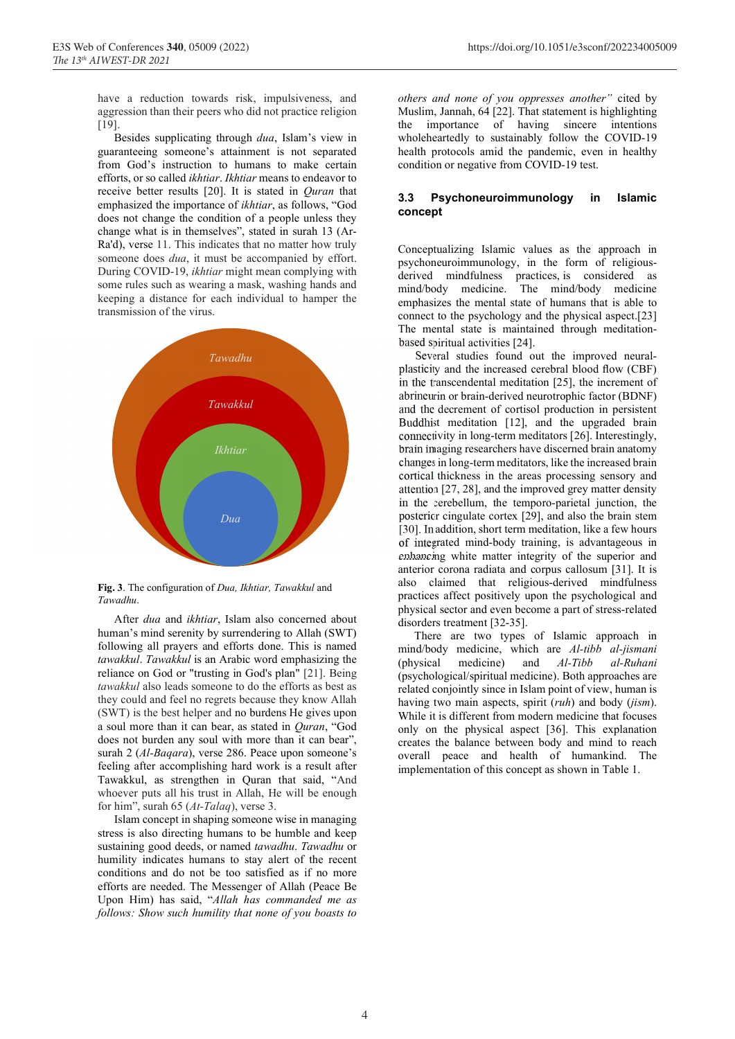have a reduction towards risk, impulsiveness, and aggression than their peers who did not practice religion [19].

Besides supplicating through dua, Islam's view in guaranteeing someone's attainment is not separated from God's instruction to humans to make certain efforts, or so called ikhtiar. Ikhtiar means to endeavor to receive better results [20]. It is stated in Quran that emphasized the importance of ikhtiar, as follows, "God does not change the condition of a people unless they change what is in themselves", stated in surah 13 (Ar-Ra'd), verse 11. This indicates that no matter how truly someone does dua, it must be accompanied by effort. During COVID-19, ikhtiar might mean complying with some rules such as wearing a mask, washing hands and keeping a distance for each individual to hamper the transmission of the virus.



Fig. 3. The configuration of Dua, Ikhtiar, Tawakkul and Tawadhu.

After dua and ikhtiar, Islam also concerned about human's mind serenity by surrendering to Allah (SWT) following all prayers and efforts done. This is named tawakkul. Tawakkul is an Arabic word emphasizing the reliance on God or "trusting in God's plan" [21]. Being tawakkul also leads someone to do the efforts as best as they could and feel no regrets because they know Allah (SWT) is the best helper and no burdens He gives upon a soul more than it can bear, as stated in Quran, "God does not burden any soul with more than it can bear", surah 2 (Al-Baqara), verse 286. Peace upon someone's feeling after accomplishing hard work is a result after Tawakkul, as strengthen in Quran that said, "And whoever puts all his trust in Allah, He will be enough for him", surah 65 (At-Talaq), verse 3.

Islam concept in shaping someone wise in managing stress is also directing humans to be humble and keep sustaining good deeds, or named tawadhu. Tawadhu or humility indicates humans to stay alert of the recent conditions and do not be too satisfied as if no more efforts are needed. The Messenger of Allah (Peace Be Upon Him) has said, "Allah has commanded me as follows: Show such humility that none of you boasts to

others and none of you oppresses another" cited by Muslim, Jannah, 64 [22]. That statement is highlighting the importance of having sincere intentions wholeheartedly to sustainably follow the COVID-19 health protocols amid the pandemic, even in healthy condition or negative from COVID-19 test.

#### 3.3 Psychoneuroimmunology in Islamic concept

Conceptualizing Islamic values as the approach in psychoneuroimmunology, in the form of religiousderived mindfulness practices, is considered as mind/body medicine. The mind/body medicine emphasizes the mental state of humans that is able to connect to the psychology and the physical aspect.[23] The mental state is maintained through meditationbased spiritual activities [24].

Several studies found out the improved neuralplasticity and the increased cerebral blood flow (CBF) in the transcendental meditation [25], the increment of abrineurin or brain-derived neurotrophic factor (BDNF) and the decrement of cortisol production in persistent Buddhist meditation [12], and the upgraded brain connectivity in long-term meditators [26]. Interestingly, brain imaging researchers have discerned brain anatomy changes in long-term meditators, like the increased brain cortical thickness in the areas processing sensory and attention [27, 28], and the improved grey matter density in the cerebellum, the temporo-parietal junction, the posterior cingulate cortex [29], and also the brain stem [30]. In addition, short term meditation, like a few hours of integrated mind-body training, is advantageous in enhancing white matter integrity of the superior and anterior corona radiata and corpus callosum [31]. It is also claimed that religious-derived mindfulness practices affect positively upon the psychological and physical sector and even become a part of stress-related disorders treatment [32-35].

There are two types of Islamic approach in mind/body medicine, which are Al-tibb al-jismani (physical medicine) and Al-Tibb al-Ruhani (psychological/spiritual medicine). Both approaches are related conjointly since in Islam point of view, human is having two main aspects, spirit (*ruh*) and body (*jism*). While it is different from modern medicine that focuses only on the physical aspect [36]. This explanation creates the balance between body and mind to reach overall peace and health of humankind. The implementation of this concept as shown in Table 1.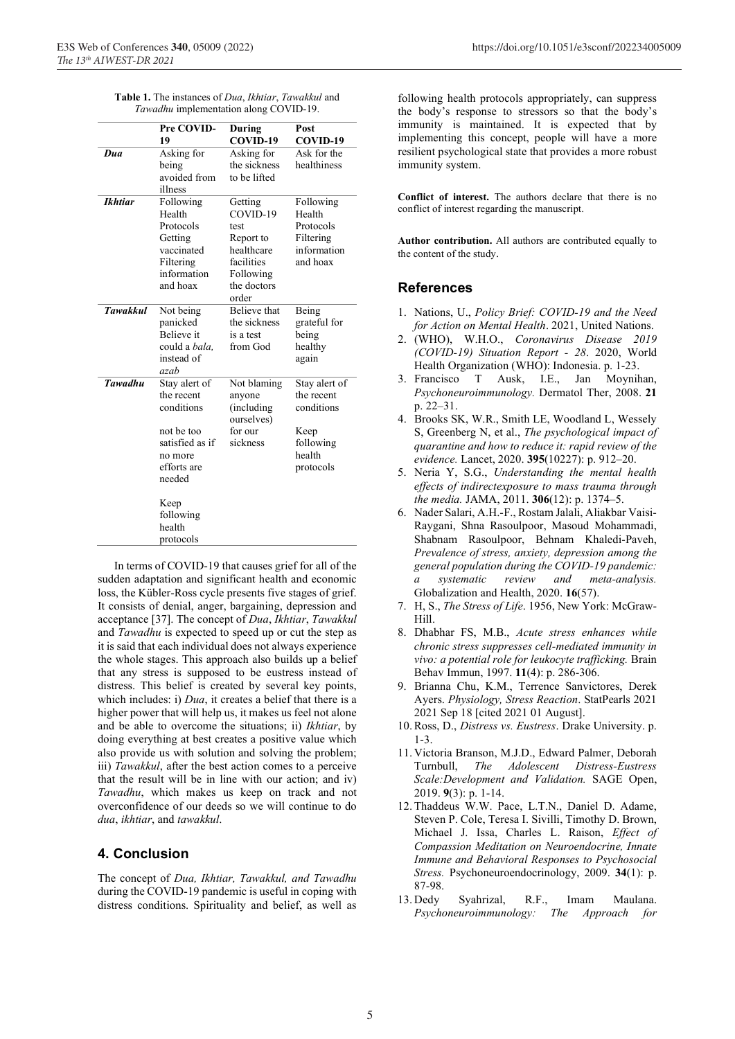| <b>Table 1.</b> The instances of <i>Dua, Ikhtiar, Tawakkul</i> and |
|--------------------------------------------------------------------|
| Tawadhu implementation along COVID-19.                             |

|                 | Pre COVID-<br>19                                                                                               | During<br>COVID-19                                                                                        | Post<br>COVID-19                                                                      |
|-----------------|----------------------------------------------------------------------------------------------------------------|-----------------------------------------------------------------------------------------------------------|---------------------------------------------------------------------------------------|
| Dua             | Asking for<br>being<br>avoided from<br>illness                                                                 | Asking for<br>the sickness<br>to be lifted                                                                | Ask for the<br>healthiness                                                            |
| <b>Ikhtiar</b>  | Following<br>Health<br>Protocols<br>Getting<br>vaccinated<br>Filtering<br>information<br>and hoax              | Getting<br>COVID-19<br>test<br>Report to<br>healthcare<br>facilities<br>Following<br>the doctors<br>order | Following<br>Health<br>Protocols<br>Filtering<br>information<br>and hoax              |
| <b>Tawakkul</b> | Not being<br>panicked<br><b>Believe</b> it<br>could a bala.<br>instead of<br>azah                              | <b>Believe</b> that<br>the sickness<br>is a test<br>from God                                              | Being<br>grateful for<br>being<br>healthy<br>again                                    |
| <b>Tawadhu</b>  | Stay alert of<br>the recent<br>conditions<br>not be too<br>satisfied as if<br>no more<br>efforts are<br>needed | Not blaming<br>anyone<br>(including<br>ourselves)<br>for our<br>sickness                                  | Stay alert of<br>the recent<br>conditions<br>Keep<br>following<br>health<br>protocols |
|                 | Keep<br>following<br>health<br>protocols                                                                       |                                                                                                           |                                                                                       |

In terms of COVID-19 that causes grief for all of the sudden adaptation and significant health and economic loss, the Kübler-Ross cycle presents five stages of grief. It consists of denial, anger, bargaining, depression and acceptance [37]. The concept of Dua, Ikhtiar, Tawakkul and Tawadhu is expected to speed up or cut the step as it is said that each individual does not always experience the whole stages. This approach also builds up a belief that any stress is supposed to be eustress instead of distress. This belief is created by several key points, which includes: i)  $Dua$ , it creates a belief that there is a higher power that will help us, it makes us feel not alone and be able to overcome the situations; ii) Ikhtiar, by doing everything at best creates a positive value which also provide us with solution and solving the problem; iii) Tawakkul, after the best action comes to a perceive that the result will be in line with our action; and iv) Tawadhu, which makes us keep on track and not overconfidence of our deeds so we will continue to do dua, ikhtiar, and tawakkul.

# 4. Conclusion

The concept of Dua, Ikhtiar, Tawakkul, and Tawadhu during the COVID-19 pandemic is useful in coping with distress conditions. Spirituality and belief, as well as following health protocols appropriately, can suppress the body's response to stressors so that the body's immunity is maintained. It is expected that by implementing this concept, people will have a more resilient psychological state that provides a more robust immunity system.

Conflict of interest. The authors declare that there is no conflict of interest regarding the manuscript.

Author contribution. All authors are contributed equally to the content of the study.

# References

- 1. Nations, U., Policy Brief: COVID-19 and the Need for Action on Mental Health. 2021, United Nations.
- 2. (WHO), W.H.O., Coronavirus Disease 2019 (COVID-19) Situation Report - 28. 2020, World Health Organization (WHO): Indonesia. p. 1-23.
- 3. Francisco T Ausk, I.E., Jan Moynihan, Psychoneuroimmunology. Dermatol Ther, 2008. 21 p. 22–31.
- 4. Brooks SK, W.R., Smith LE, Woodland L, Wessely S, Greenberg N, et al., The psychological impact of quarantine and how to reduce it: rapid review of the evidence. Lancet, 2020. 395(10227): p. 912–20.
- 5. Neria Y, S.G., Understanding the mental health effects of indirectexposure to mass trauma through the media. JAMA, 2011. 306(12): p. 1374–5.
- 6. Nader Salari, A.H.-F., Rostam Jalali, Aliakbar Vaisi-Raygani, Shna Rasoulpoor, Masoud Mohammadi, Shabnam Rasoulpoor, Behnam Khaledi-Paveh, Prevalence of stress, anxiety, depression among the general population during the COVID-19 pandemic: a systematic review and meta-analysis. Globalization and Health, 2020. 16(57).
- 7. H, S., The Stress of Life. 1956, New York: McGraw-Hill.
- 8. Dhabhar FS, M.B., Acute stress enhances while chronic stress suppresses cell-mediated immunity in vivo: a potential role for leukocyte trafficking. Brain Behav Immun, 1997. 11(4): p. 286-306.
- 9. Brianna Chu, K.M., Terrence Sanvictores, Derek Ayers. Physiology, Stress Reaction. StatPearls 2021 2021 Sep 18 [cited 2021 01 August].
- 10. Ross, D., Distress vs. Eustress. Drake University. p. 1-3.
- 11. Victoria Branson, M.J.D., Edward Palmer, Deborah Turnbull, The Adolescent Distress-Eustress Scale:Development and Validation. SAGE Open, 2019. 9(3): p. 1-14.
- 12. Thaddeus W.W. Pace, L.T.N., Daniel D. Adame, Steven P. Cole, Teresa I. Sivilli, Timothy D. Brown, Michael J. Issa, Charles L. Raison, Effect of Compassion Meditation on Neuroendocrine, Innate Immune and Behavioral Responses to Psychosocial Stress. Psychoneuroendocrinology, 2009. 34(1): p. 87-98.
- 13. Dedy Syahrizal, R.F., Imam Maulana. Psychoneuroimmunology: The Approach for